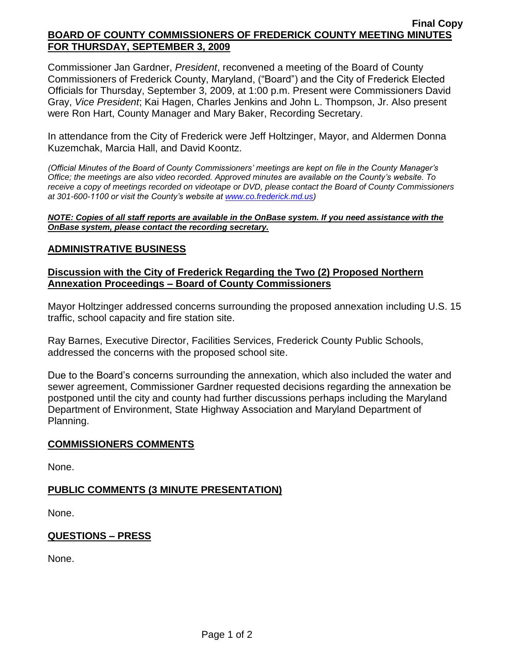#### **Final Copy BOARD OF COUNTY COMMISSIONERS OF FREDERICK COUNTY MEETING MINUTES FOR THURSDAY, SEPTEMBER 3, 2009**

Commissioner Jan Gardner, *President*, reconvened a meeting of the Board of County Commissioners of Frederick County, Maryland, ("Board") and the City of Frederick Elected Officials for Thursday, September 3, 2009, at 1:00 p.m. Present were Commissioners David Gray, *Vice President*; Kai Hagen, Charles Jenkins and John L. Thompson, Jr. Also present were Ron Hart, County Manager and Mary Baker, Recording Secretary.

In attendance from the City of Frederick were Jeff Holtzinger, Mayor, and Aldermen [Donna](mailto:dkuzemchak@cityoffrederick.com)  [Kuzemchak,](mailto:dkuzemchak@cityoffrederick.com) Marcia Hall, and David Koontz.

*(Official Minutes of the Board of County Commissioners' meetings are kept on file in the County Manager's Office; the meetings are also video recorded. Approved minutes are available on the County's website. To receive a copy of meetings recorded on videotape or DVD, please contact the Board of County Commissioners at 301-600-1100 or visit the County's website at [www.co.frederick.md.us\)](http://www.co.frederick.md.us/)*

#### *NOTE: Copies of all staff reports are available in the OnBase system. If you need assistance with the OnBase system, please contact the recording secretary.*

# **ADMINISTRATIVE BUSINESS**

### **Discussion with the City of Frederick Regarding the Two (2) Proposed Northern Annexation Proceedings – Board of County Commissioners**

Mayor Holtzinger addressed concerns surrounding the proposed annexation including U.S. 15 traffic, school capacity and fire station site.

Ray Barnes, Executive Director, Facilities Services, Frederick County Public Schools, addressed the concerns with the proposed school site.

Due to the Board's concerns surrounding the annexation, which also included the water and sewer agreement, Commissioner Gardner requested decisions regarding the annexation be postponed until the city and county had further discussions perhaps including the Maryland Department of Environment, State Highway Association and Maryland Department of Planning.

### **COMMISSIONERS COMMENTS**

None.

### **PUBLIC COMMENTS (3 MINUTE PRESENTATION)**

None.

### **QUESTIONS – PRESS**

None.